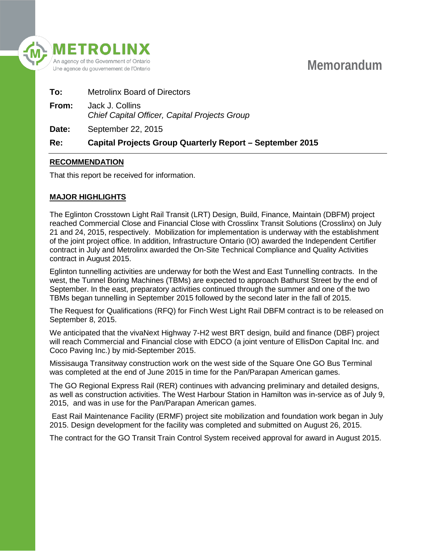

# **Memorandum**

| To:          | <b>Metrolinx Board of Directors</b>                              |
|--------------|------------------------------------------------------------------|
| From:        | Jack J. Collins<br>Chief Capital Officer, Capital Projects Group |
| <b>Date:</b> | September 22, 2015                                               |

# **Re: Capital Projects Group Quarterly Report – September 2015**

## **RECOMMENDATION**

That this report be received for information.

# **MAJOR HIGHLIGHTS**

The Eglinton Crosstown Light Rail Transit (LRT) Design, Build, Finance, Maintain (DBFM) project reached Commercial Close and Financial Close with Crosslinx Transit Solutions (Crosslinx) on July 21 and 24, 2015, respectively. Mobilization for implementation is underway with the establishment of the joint project office. In addition, Infrastructure Ontario (IO) awarded the Independent Certifier contract in July and Metrolinx awarded the On-Site Technical Compliance and Quality Activities contract in August 2015.

Eglinton tunnelling activities are underway for both the West and East Tunnelling contracts. In the west, the Tunnel Boring Machines (TBMs) are expected to approach Bathurst Street by the end of September. In the east, preparatory activities continued through the summer and one of the two TBMs began tunnelling in September 2015 followed by the second later in the fall of 2015.

The Request for Qualifications (RFQ) for Finch West Light Rail DBFM contract is to be released on September 8, 2015.

We anticipated that the vivaNext Highway 7-H2 west BRT design, build and finance (DBF) project will reach Commercial and Financial close with EDCO (a joint venture of EllisDon Capital Inc. and Coco Paving Inc.) by mid-September 2015.

Missisauga Transitway construction work on the west side of the Square One GO Bus Terminal was completed at the end of June 2015 in time for the Pan/Parapan American games.

The GO Regional Express Rail (RER) continues with advancing preliminary and detailed designs, as well as construction activities. The West Harbour Station in Hamilton was in-service as of July 9, 2015, and was in use for the Pan/Parapan American games.

East Rail Maintenance Facility (ERMF) project site mobilization and foundation work began in July 2015. Design development for the facility was completed and submitted on August 26, 2015.

The contract for the GO Transit Train Control System received approval for award in August 2015.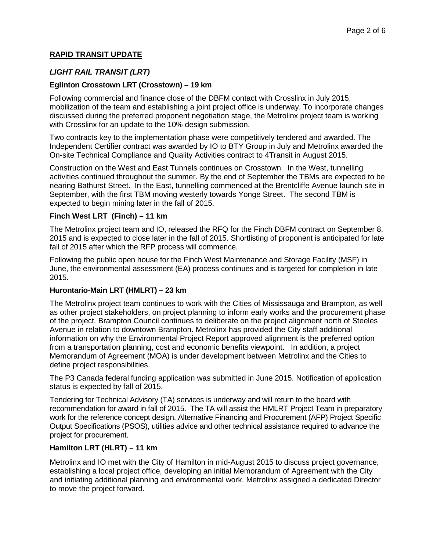# **RAPID TRANSIT UPDATE**

# *LIGHT RAIL TRANSIT (LRT)*

#### **Eglinton Crosstown LRT (Crosstown) – 19 km**

Following commercial and finance close of the DBFM contact with Crosslinx in July 2015, mobilization of the team and establishing a joint project office is underway. To incorporate changes discussed during the preferred proponent negotiation stage, the Metrolinx project team is working with Crosslinx for an update to the 10% design submission.

Two contracts key to the implementation phase were competitively tendered and awarded. The Independent Certifier contract was awarded by IO to BTY Group in July and Metrolinx awarded the On-site Technical Compliance and Quality Activities contract to 4Transit in August 2015.

Construction on the West and East Tunnels continues on Crosstown. In the West, tunnelling activities continued throughout the summer. By the end of September the TBMs are expected to be nearing Bathurst Street. In the East, tunnelling commenced at the Brentcliffe Avenue launch site in September, with the first TBM moving westerly towards Yonge Street. The second TBM is expected to begin mining later in the fall of 2015.

#### **Finch West LRT (Finch) – 11 km**

The Metrolinx project team and IO, released the RFQ for the Finch DBFM contract on September 8, 2015 and is expected to close later in the fall of 2015. Shortlisting of proponent is anticipated for late fall of 2015 after which the RFP process will commence.

Following the public open house for the Finch West Maintenance and Storage Facility (MSF) in June, the environmental assessment (EA) process continues and is targeted for completion in late 2015.

#### **Hurontario-Main LRT (HMLRT) – 23 km**

The Metrolinx project team continues to work with the Cities of Mississauga and Brampton, as well as other project stakeholders, on project planning to inform early works and the procurement phase of the project. Brampton Council continues to deliberate on the project alignment north of Steeles Avenue in relation to downtown Brampton. Metrolinx has provided the City staff additional information on why the Environmental Project Report approved alignment is the preferred option from a transportation planning, cost and economic benefits viewpoint. In addition, a project Memorandum of Agreement (MOA) is under development between Metrolinx and the Cities to define project responsibilities.

The P3 Canada federal funding application was submitted in June 2015. Notification of application status is expected by fall of 2015.

Tendering for Technical Advisory (TA) services is underway and will return to the board with recommendation for award in fall of 2015. The TA will assist the HMLRT Project Team in preparatory work for the reference concept design, Alternative Financing and Procurement (AFP) Project Specific Output Specifications (PSOS), utilities advice and other technical assistance required to advance the project for procurement.

## **Hamilton LRT (HLRT) – 11 km**

Metrolinx and IO met with the City of Hamilton in mid-August 2015 to discuss project governance, establishing a local project office, developing an initial Memorandum of Agreement with the City and initiating additional planning and environmental work. Metrolinx assigned a dedicated Director to move the project forward.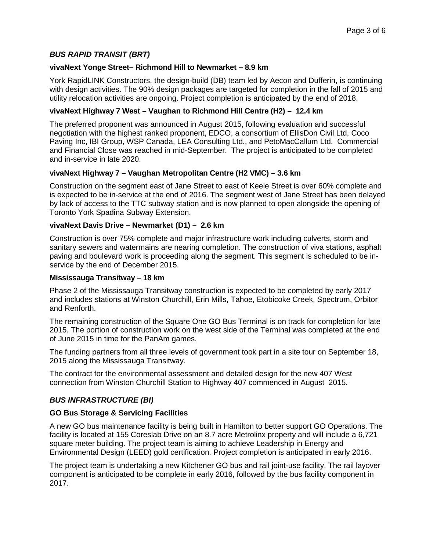# *BUS RAPID TRANSIT (BRT)*

#### **vivaNext Yonge Street– Richmond Hill to Newmarket – 8.9 km**

York RapidLINK Constructors, the design-build (DB) team led by Aecon and Dufferin, is continuing with design activities. The 90% design packages are targeted for completion in the fall of 2015 and utility relocation activities are ongoing. Project completion is anticipated by the end of 2018.

## **vivaNext Highway 7 West – Vaughan to Richmond Hill Centre (H2) – 12.4 km**

The preferred proponent was announced in August 2015, following evaluation and successful negotiation with the highest ranked proponent, EDCO, a consortium of EllisDon Civil Ltd, Coco Paving Inc, IBI Group, WSP Canada, LEA Consulting Ltd., and PetoMacCallum Ltd. Commercial and Financial Close was reached in mid-September. The project is anticipated to be completed and in-service in late 2020.

#### **vivaNext Highway 7 – Vaughan Metropolitan Centre (H2 VMC) – 3.6 km**

Construction on the segment east of Jane Street to east of Keele Street is over 60% complete and is expected to be in-service at the end of 2016. The segment west of Jane Street has been delayed by lack of access to the TTC subway station and is now planned to open alongside the opening of Toronto York Spadina Subway Extension.

#### **vivaNext Davis Drive – Newmarket (D1) – 2.6 km**

Construction is over 75% complete and major infrastructure work including culverts, storm and sanitary sewers and watermains are nearing completion. The construction of viva stations, asphalt paving and boulevard work is proceeding along the segment. This segment is scheduled to be inservice by the end of December 2015.

#### **Mississauga Transitway – 18 km**

Phase 2 of the Mississauga Transitway construction is expected to be completed by early 2017 and includes stations at Winston Churchill, Erin Mills, Tahoe, Etobicoke Creek, Spectrum, Orbitor and Renforth.

The remaining construction of the Square One GO Bus Terminal is on track for completion for late 2015. The portion of construction work on the west side of the Terminal was completed at the end of June 2015 in time for the PanAm games.

The funding partners from all three levels of government took part in a site tour on September 18, 2015 along the Mississauga Transitway.

The contract for the environmental assessment and detailed design for the new 407 West connection from Winston Churchill Station to Highway 407 commenced in August 2015.

## *BUS INFRASTRUCTURE (BI)*

#### **GO Bus Storage & Servicing Facilities**

A new GO bus maintenance facility is being built in Hamilton to better support GO Operations. The facility is located at 155 Coreslab Drive on an 8.7 acre Metrolinx property and will include a 6,721 square meter building. The project team is aiming to achieve Leadership in Energy and Environmental Design (LEED) gold certification. Project completion is anticipated in early 2016.

The project team is undertaking a new Kitchener GO bus and rail joint-use facility. The rail layover component is anticipated to be complete in early 2016, followed by the bus facility component in 2017.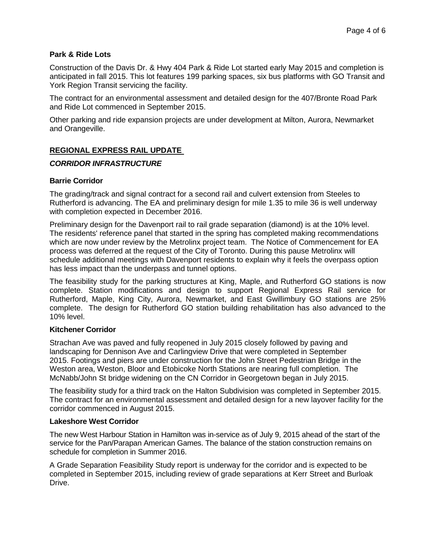#### **Park & Ride Lots**

Construction of the Davis Dr. & Hwy 404 Park & Ride Lot started early May 2015 and completion is anticipated in fall 2015. This lot features 199 parking spaces, six bus platforms with GO Transit and York Region Transit servicing the facility.

The contract for an environmental assessment and detailed design for the 407/Bronte Road Park and Ride Lot commenced in September 2015.

Other parking and ride expansion projects are under development at Milton, Aurora, Newmarket and Orangeville.

## **REGIONAL EXPRESS RAIL UPDATE**

#### *CORRIDOR INFRASTRUCTURE*

#### **Barrie Corridor**

The grading/track and signal contract for a second rail and culvert extension from Steeles to Rutherford is advancing. The EA and preliminary design for mile 1.35 to mile 36 is well underway with completion expected in December 2016.

Preliminary design for the Davenport rail to rail grade separation (diamond) is at the 10% level. The residents' reference panel that started in the spring has completed making recommendations which are now under review by the Metrolinx project team. The Notice of Commencement for EA process was deferred at the request of the City of Toronto. During this pause Metrolinx will schedule additional meetings with Davenport residents to explain why it feels the overpass option has less impact than the underpass and tunnel options.

The feasibility study for the parking structures at King, Maple, and Rutherford GO stations is now complete. Station modifications and design to support Regional Express Rail service for Rutherford, Maple, King City, Aurora, Newmarket, and East Gwillimbury GO stations are 25% complete. The design for Rutherford GO station building rehabilitation has also advanced to the 10% level.

#### **Kitchener Corridor**

Strachan Ave was paved and fully reopened in July 2015 closely followed by paving and landscaping for Dennison Ave and Carlingview Drive that were completed in September 2015. Footings and piers are under construction for the John Street Pedestrian Bridge in the Weston area, Weston, Bloor and Etobicoke North Stations are nearing full completion. The McNabb/John St bridge widening on the CN Corridor in Georgetown began in July 2015.

The feasibility study for a third track on the Halton Subdivision was completed in September 2015. The contract for an environmental assessment and detailed design for a new layover facility for the corridor commenced in August 2015.

#### **Lakeshore West Corridor**

The new West Harbour Station in Hamilton was in-service as of July 9, 2015 ahead of the start of the service for the Pan/Parapan American Games. The balance of the station construction remains on schedule for completion in Summer 2016.

A Grade Separation Feasibility Study report is underway for the corridor and is expected to be completed in September 2015, including review of grade separations at Kerr Street and Burloak Drive.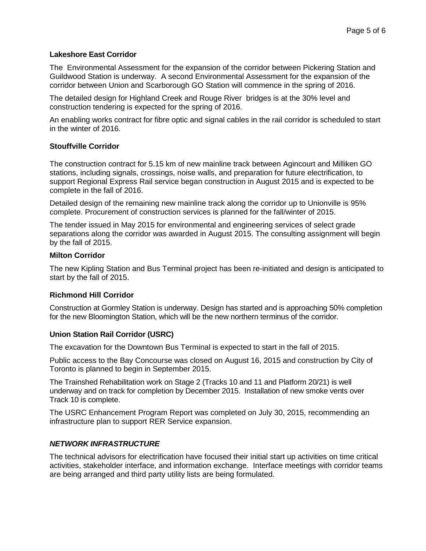#### **Lakeshore East Corridor**

The Environmental Assessment for the expansion of the corridor between Pickering Station and Guildwood Station is underway. A second Environmental Assessment for the expansion of the corridor between Union and Scarborough GO Station will commence in the spring of 2016.

The detailed design for Highland Creek and Rouge River bridges is at the 30% level and construction tendering is expected for the spring of 2016.

An enabling works contract for fibre optic and signal cables in the rail corridor is scheduled to start in the winter of 2016.

## **Stouffville Corridor**

The construction contract for 5.15 km of new mainline track between Agincourt and Milliken GO stations, including signals, crossings, noise walls, and preparation for future electrification, to support Regional Express Rail service began construction in August 2015 and is expected to be complete in the fall of 2016.

Detailed design of the remaining new mainline track along the corridor up to Unionville is 95% complete. Procurement of construction services is planned for the fall/winter of 2015.

The tender issued in May 2015 for environmental and engineering services of select grade separations along the corridor was awarded in August 2015. The consulting assignment will begin by the fall of 2015.

#### **Milton Corridor**

The new Kipling Station and Bus Terminal project has been re-initiated and design is anticipated to start by the fall of 2015.

## **Richmond Hill Corridor**

Construction at Gormley Station is underway. Design has started and is approaching 50% completion for the new Bloomington Station, which will be the new northern terminus of the corridor.

## **Union Station Rail Corridor (USRC)**

The excavation for the Downtown Bus Terminal is expected to start in the fall of 2015.

Public access to the Bay Concourse was closed on August 16, 2015 and construction by City of Toronto is planned to begin in September 2015.

The Trainshed Rehabilitation work on Stage 2 (Tracks 10 and 11 and Platform 20/21) is well underway and on track for completion by December 2015. Installation of new smoke vents over Track 10 is complete.

The USRC Enhancement Program Report was completed on July 30, 2015, recommending an infrastructure plan to support RER Service expansion.

#### *NETWORK INFRASTRUCTURE*

The technical advisors for electrification have focused their initial start up activities on time critical activities, stakeholder interface, and information exchange. Interface meetings with corridor teams are being arranged and third party utility lists are being formulated.